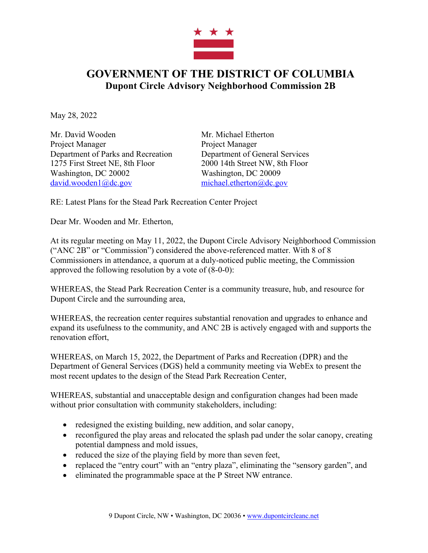

## **GOVERNMENT OF THE DISTRICT OF COLUMBIA Dupont Circle Advisory Neighborhood Commission 2B**

May 28, 2022

Mr. David Wooden Mr. Michael Etherton Project Manager Project Manager Department of Parks and Recreation Department of General Services 1275 First Street NE, 8th Floor 2000 14th Street NW, 8th Floor Washington, DC 20002 Washington, DC 20009 david.wooden1@dc.gov michael.etherton@dc.gov

RE: Latest Plans for the Stead Park Recreation Center Project

Dear Mr. Wooden and Mr. Etherton,

At its regular meeting on May 11, 2022, the Dupont Circle Advisory Neighborhood Commission ("ANC 2B" or "Commission") considered the above-referenced matter. With 8 of 8 Commissioners in attendance, a quorum at a duly-noticed public meeting, the Commission approved the following resolution by a vote of (8-0-0):

WHEREAS, the Stead Park Recreation Center is a community treasure, hub, and resource for Dupont Circle and the surrounding area,

WHEREAS, the recreation center requires substantial renovation and upgrades to enhance and expand its usefulness to the community, and ANC 2B is actively engaged with and supports the renovation effort,

WHEREAS, on March 15, 2022, the Department of Parks and Recreation (DPR) and the Department of General Services (DGS) held a community meeting via WebEx to present the most recent updates to the design of the Stead Park Recreation Center,

WHEREAS, substantial and unacceptable design and configuration changes had been made without prior consultation with community stakeholders, including:

- redesigned the existing building, new addition, and solar canopy,
- reconfigured the play areas and relocated the splash pad under the solar canopy, creating potential dampness and mold issues,
- reduced the size of the playing field by more than seven feet,
- replaced the "entry court" with an "entry plaza", eliminating the "sensory garden", and
- eliminated the programmable space at the P Street NW entrance.